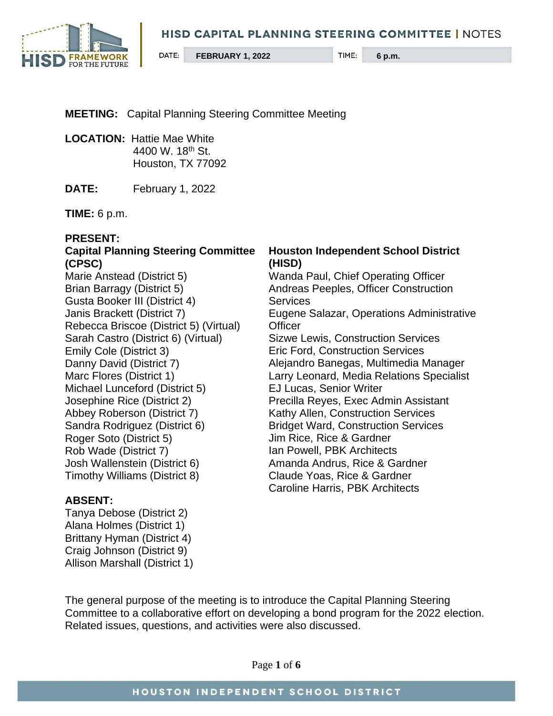

# **MEETING:** Capital Planning Steering Committee Meeting

- **LOCATION:** Hattie Mae White 4400 W. 18th St. Houston, TX 77092
- **DATE:** February 1, 2022

**TIME:** 6 p.m.

## **PRESENT:**

## **Capital Planning Steering Committee (CPSC)**

Marie Anstead (District 5) Brian Barragy (District 5) Gusta Booker III (District 4) Janis Brackett (District 7) Rebecca Briscoe (District 5) (Virtual) Sarah Castro (District 6) (Virtual) Emily Cole (District 3) Danny David (District 7) Marc Flores (District 1) Michael Lunceford (District 5) Josephine Rice (District 2) Abbey Roberson (District 7) Sandra Rodriguez (District 6) Roger Soto (District 5) Rob Wade (District 7) Josh Wallenstein (District 6) Timothy Williams (District 8)

# **ABSENT:**

Tanya Debose (District 2) Alana Holmes (District 1) Brittany Hyman (District 4) Craig Johnson (District 9) Allison Marshall (District 1)

#### **Houston Independent School District (HISD)**

Wanda Paul, Chief Operating Officer Andreas Peeples, Officer Construction **Services** Eugene Salazar, Operations Administrative **Officer** Sizwe Lewis, Construction Services Eric Ford, Construction Services Alejandro Banegas, Multimedia Manager Larry Leonard, Media Relations Specialist EJ Lucas, Senior Writer Precilla Reyes, Exec Admin Assistant Kathy Allen, Construction Services Bridget Ward, Construction Services Jim Rice, Rice & Gardner Ian Powell, PBK Architects Amanda Andrus, Rice & Gardner Claude Yoas, Rice & Gardner Caroline Harris, PBK Architects

The general purpose of the meeting is to introduce the Capital Planning Steering Committee to a collaborative effort on developing a bond program for the 2022 election. Related issues, questions, and activities were also discussed.

Page **1** of **6**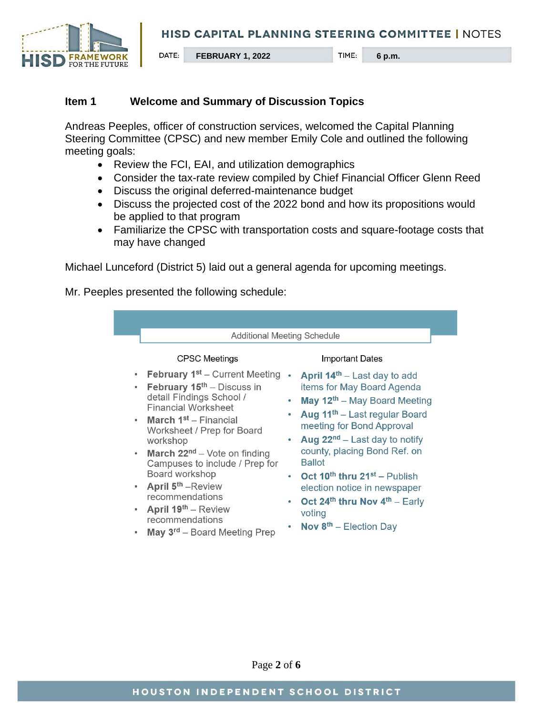

## **Item 1 Welcome and Summary of Discussion Topics**

Andreas Peeples, officer of construction services, welcomed the Capital Planning Steering Committee (CPSC) and new member Emily Cole and outlined the following meeting goals:

- Review the FCI, EAI, and utilization demographics
- Consider the tax-rate review compiled by Chief Financial Officer Glenn Reed
- Discuss the original deferred-maintenance budget
- Discuss the projected cost of the 2022 bond and how its propositions would be applied to that program
- Familiarize the CPSC with transportation costs and square-footage costs that may have changed

Michael Lunceford (District 5) laid out a general agenda for upcoming meetings.

Mr. Peeples presented the following schedule:

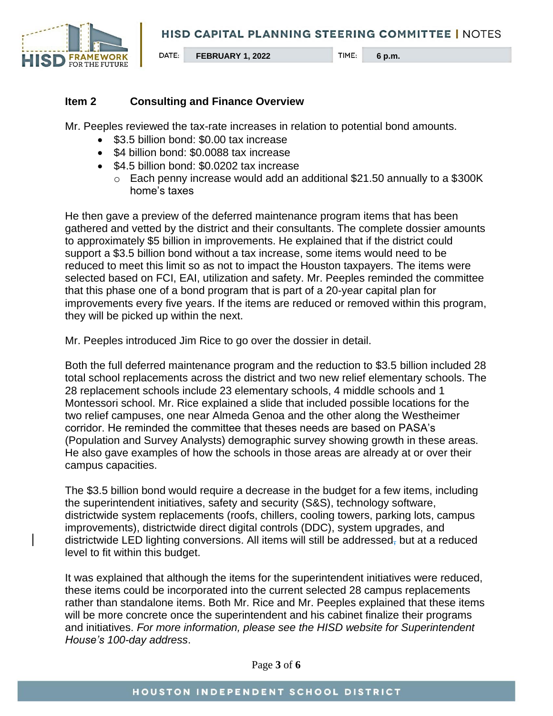

#### **Item 2 Consulting and Finance Overview**

Mr. Peeples reviewed the tax-rate increases in relation to potential bond amounts.

- \$3.5 billion bond: \$0.00 tax increase
- \$4 billion bond: \$0.0088 tax increase
- \$4.5 billion bond: \$0.0202 tax increase
	- o Each penny increase would add an additional \$21.50 annually to a \$300K home's taxes

He then gave a preview of the deferred maintenance program items that has been gathered and vetted by the district and their consultants. The complete dossier amounts to approximately \$5 billion in improvements. He explained that if the district could support a \$3.5 billion bond without a tax increase, some items would need to be reduced to meet this limit so as not to impact the Houston taxpayers. The items were selected based on FCI, EAI, utilization and safety. Mr. Peeples reminded the committee that this phase one of a bond program that is part of a 20-year capital plan for improvements every five years. If the items are reduced or removed within this program, they will be picked up within the next.

Mr. Peeples introduced Jim Rice to go over the dossier in detail.

Both the full deferred maintenance program and the reduction to \$3.5 billion included 28 total school replacements across the district and two new relief elementary schools. The 28 replacement schools include 23 elementary schools, 4 middle schools and 1 Montessori school. Mr. Rice explained a slide that included possible locations for the two relief campuses, one near Almeda Genoa and the other along the Westheimer corridor. He reminded the committee that theses needs are based on PASA's (Population and Survey Analysts) demographic survey showing growth in these areas. He also gave examples of how the schools in those areas are already at or over their campus capacities.

The \$3.5 billion bond would require a decrease in the budget for a few items, including the superintendent initiatives, safety and security (S&S), technology software, districtwide system replacements (roofs, chillers, cooling towers, parking lots, campus improvements), districtwide direct digital controls (DDC), system upgrades, and districtwide LED lighting conversions. All items will still be addressed, but at a reduced level to fit within this budget.

It was explained that although the items for the superintendent initiatives were reduced, these items could be incorporated into the current selected 28 campus replacements rather than standalone items. Both Mr. Rice and Mr. Peeples explained that these items will be more concrete once the superintendent and his cabinet finalize their programs and initiatives. *For more information, please see the HISD website for Superintendent House's 100-day address*.

Page **3** of **6**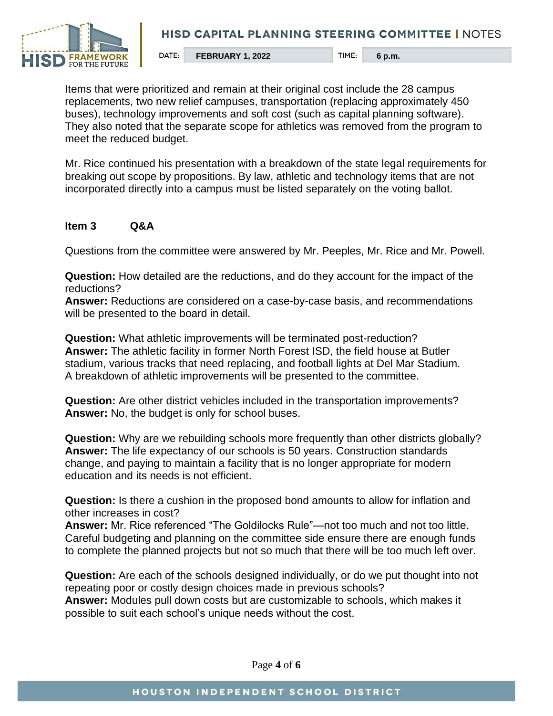

Items that were prioritized and remain at their original cost include the 28 campus replacements, two new relief campuses, transportation (replacing approximately 450 buses), technology improvements and soft cost (such as capital planning software). They also noted that the separate scope for athletics was removed from the program to meet the reduced budget.

Mr. Rice continued his presentation with a breakdown of the state legal requirements for breaking out scope by propositions. By law, athletic and technology items that are not incorporated directly into a campus must be listed separately on the voting ballot.

## **Item 3 Q&A**

Questions from the committee were answered by Mr. Peeples, Mr. Rice and Mr. Powell.

**Question:** How detailed are the reductions, and do they account for the impact of the reductions?

**Answer:** Reductions are considered on a case-by-case basis, and recommendations will be presented to the board in detail.

**Question:** What athletic improvements will be terminated post-reduction? **Answer:** The athletic facility in former North Forest ISD, the field house at Butler stadium, various tracks that need replacing, and football lights at Del Mar Stadium. A breakdown of athletic improvements will be presented to the committee.

**Question:** Are other district vehicles included in the transportation improvements? **Answer:** No, the budget is only for school buses.

**Question:** Why are we rebuilding schools more frequently than other districts globally? **Answer:** The life expectancy of our schools is 50 years. Construction standards change, and paying to maintain a facility that is no longer appropriate for modern education and its needs is not efficient.

**Question:** Is there a cushion in the proposed bond amounts to allow for inflation and other increases in cost?

**Answer:** Mr. Rice referenced "The Goldilocks Rule"—not too much and not too little. Careful budgeting and planning on the committee side ensure there are enough funds to complete the planned projects but not so much that there will be too much left over.

**Question:** Are each of the schools designed individually, or do we put thought into not repeating poor or costly design choices made in previous schools? **Answer:** Modules pull down costs but are customizable to schools, which makes it possible to suit each school's unique needs without the cost.

Page **4** of **6**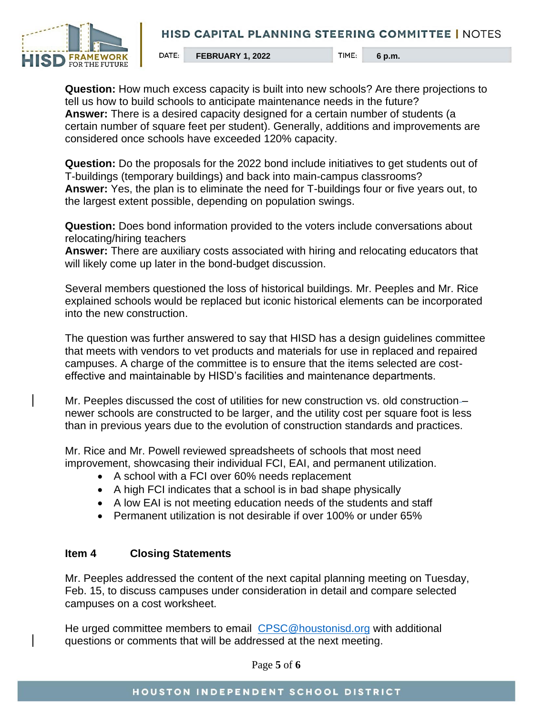

**FEBRUARY 1, 2022** TIME: 6 p.m.

**Question:** How much excess capacity is built into new schools? Are there projections to tell us how to build schools to anticipate maintenance needs in the future? **Answer:** There is a desired capacity designed for a certain number of students (a certain number of square feet per student). Generally, additions and improvements are considered once schools have exceeded 120% capacity.

**Question:** Do the proposals for the 2022 bond include initiatives to get students out of T-buildings (temporary buildings) and back into main-campus classrooms? **Answer:** Yes, the plan is to eliminate the need for T-buildings four or five years out, to the largest extent possible, depending on population swings.

**Question:** Does bond information provided to the voters include conversations about relocating/hiring teachers

**Answer:** There are auxiliary costs associated with hiring and relocating educators that will likely come up later in the bond-budget discussion.

Several members questioned the loss of historical buildings. Mr. Peeples and Mr. Rice explained schools would be replaced but iconic historical elements can be incorporated into the new construction.

The question was further answered to say that HISD has a design guidelines committee that meets with vendors to vet products and materials for use in replaced and repaired campuses. A charge of the committee is to ensure that the items selected are costeffective and maintainable by HISD's facilities and maintenance departments.

Mr. Peeples discussed the cost of utilities for new construction vs. old construction – newer schools are constructed to be larger, and the utility cost per square foot is less than in previous years due to the evolution of construction standards and practices.

Mr. Rice and Mr. Powell reviewed spreadsheets of schools that most need improvement, showcasing their individual FCI, EAI, and permanent utilization.

- A school with a FCI over 60% needs replacement
- A high FCI indicates that a school is in bad shape physically
- A low EAI is not meeting education needs of the students and staff
- Permanent utilization is not desirable if over 100% or under 65%

#### **Item 4 Closing Statements**

Mr. Peeples addressed the content of the next capital planning meeting on Tuesday, Feb. 15, to discuss campuses under consideration in detail and compare selected campuses on a cost worksheet.

He urged committee members to email [CPSC@houstonisd.org](mailto:CPSC@houstonisd.org) with additional questions or comments that will be addressed at the next meeting.

Page **5** of **6**